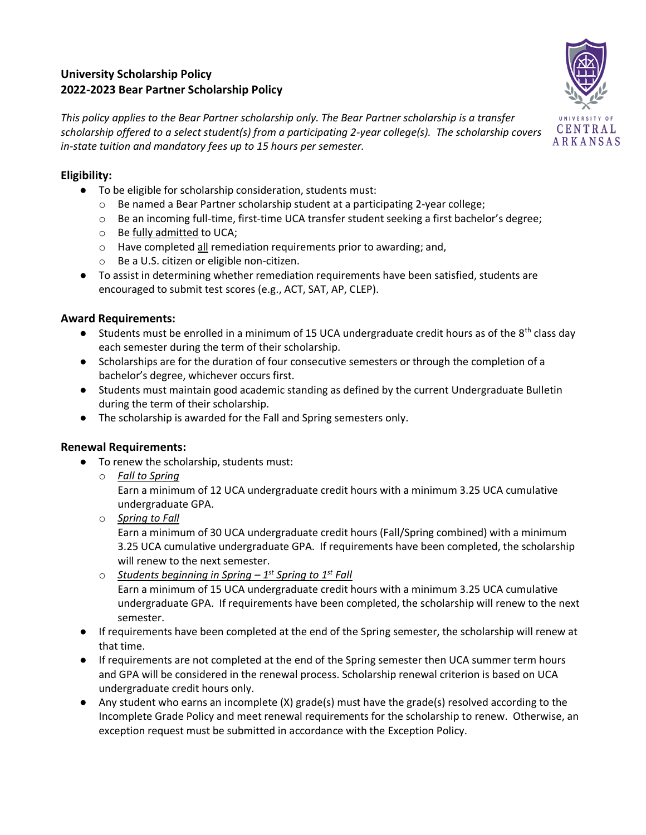# **University Scholarship Policy 2022-2023 Bear Partner Scholarship Policy**



*This policy applies to the Bear Partner scholarship only. The Bear Partner scholarship is a transfer scholarship offered to a select student(s) from a participating 2-year college(s). The scholarship covers in-state tuition and mandatory fees up to 15 hours per semester.* 

### **Eligibility:**

- To be eligible for scholarship consideration, students must:
	- $\circ$  Be named a Bear Partner scholarship student at a participating 2-year college;
	- o Be an incoming full-time, first-time UCA transfer student seeking a first bachelor's degree;
	- o Be fully admitted to UCA;
	- $\circ$  Have completed all remediation requirements prior to awarding; and,
	- o Be a U.S. citizen or eligible non-citizen.
- To assist in determining whether remediation requirements have been satisfied, students are encouraged to submit test scores (e.g., ACT, SAT, AP, CLEP).

#### **Award Requirements:**

- **•** Students must be enrolled in a minimum of 15 UCA undergraduate credit hours as of the  $8<sup>th</sup>$  class day each semester during the term of their scholarship.
- Scholarships are for the duration of four consecutive semesters or through the completion of a bachelor's degree, whichever occurs first.
- Students must maintain good academic standing as defined by the current Undergraduate Bulletin during the term of their scholarship.
- The scholarship is awarded for the Fall and Spring semesters only.

## **Renewal Requirements:**

- To renew the scholarship, students must:
	- o *Fall to Spring*

Earn a minimum of 12 UCA undergraduate credit hours with a minimum 3.25 UCA cumulative undergraduate GPA.

o *Spring to Fall*

Earn a minimum of 30 UCA undergraduate credit hours (Fall/Spring combined) with a minimum 3.25 UCA cumulative undergraduate GPA. If requirements have been completed, the scholarship will renew to the next semester.

- o *Students beginning in Spring – 1 st Spring to 1st Fall*  Earn a minimum of 15 UCA undergraduate credit hours with a minimum 3.25 UCA cumulative undergraduate GPA. If requirements have been completed, the scholarship will renew to the next semester.
- If requirements have been completed at the end of the Spring semester, the scholarship will renew at that time.
- If requirements are not completed at the end of the Spring semester then UCA summer term hours and GPA will be considered in the renewal process. Scholarship renewal criterion is based on UCA undergraduate credit hours only.
- Any student who earns an incomplete (X) grade(s) must have the grade(s) resolved according to the Incomplete Grade Policy and meet renewal requirements for the scholarship to renew. Otherwise, an exception request must be submitted in accordance with the Exception Policy.